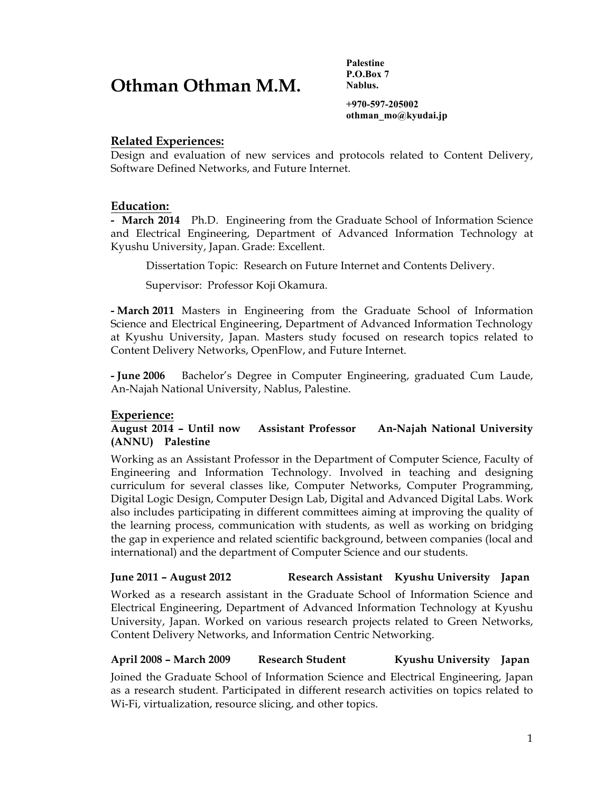# **Othman Othman M.M.**

**Palestine P.O.Box 7 Nablus.**

**+970-597-205002 othman\_mo@kyudai.jp**

### **Related Experiences:**

Design and evaluation of new services and protocols related to Content Delivery, Software Defined Networks, and Future Internet.

#### **Education:**

**- March 2014** Ph.D. Engineering from the Graduate School of Information Science and Electrical Engineering, Department of Advanced Information Technology at Kyushu University, Japan. Grade: Excellent.

Dissertation Topic: Research on Future Internet and Contents Delivery.

Supervisor: Professor Koji Okamura.

**- March 2011** Masters in Engineering from the Graduate School of Information Science and Electrical Engineering, Department of Advanced Information Technology at Kyushu University, Japan. Masters study focused on research topics related to Content Delivery Networks, OpenFlow, and Future Internet.

**- June 2006** Bachelor's Degree in Computer Engineering, graduated Cum Laude, An-Najah National University, Nablus, Palestine.

## **Experience:**

#### **August 2014 – Until now Assistant Professor An-Najah National University (ANNU) Palestine**

Working as an Assistant Professor in the Department of Computer Science, Faculty of Engineering and Information Technology. Involved in teaching and designing curriculum for several classes like, Computer Networks, Computer Programming, Digital Logic Design, Computer Design Lab, Digital and Advanced Digital Labs. Work also includes participating in different committees aiming at improving the quality of the learning process, communication with students, as well as working on bridging the gap in experience and related scientific background, between companies (local and international) and the department of Computer Science and our students.

#### **June 2011 – August 2012 Research Assistant Kyushu University Japan**

Worked as a research assistant in the Graduate School of Information Science and Electrical Engineering, Department of Advanced Information Technology at Kyushu University, Japan. Worked on various research projects related to Green Networks, Content Delivery Networks, and Information Centric Networking.

## **April 2008 – March 2009 Research Student Kyushu University Japan**

Joined the Graduate School of Information Science and Electrical Engineering, Japan as a research student. Participated in different research activities on topics related to Wi-Fi, virtualization, resource slicing, and other topics.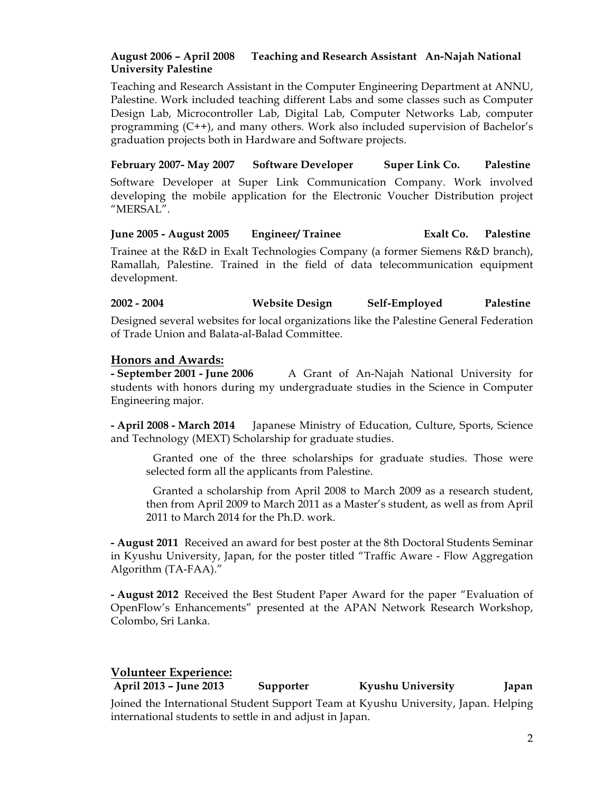# **August 2006 – April 2008 Teaching and Research Assistant An-Najah National University Palestine**

Teaching and Research Assistant in the Computer Engineering Department at ANNU, Palestine. Work included teaching different Labs and some classes such as Computer Design Lab, Microcontroller Lab, Digital Lab, Computer Networks Lab, computer programming (C++), and many others. Work also included supervision of Bachelor's graduation projects both in Hardware and Software projects.

## **February 2007- May 2007 Software Developer Super Link Co. Palestine**

Software Developer at Super Link Communication Company. Work involved developing the mobile application for the Electronic Voucher Distribution project "MERSAL".

#### **June 2005 - August 2005 Engineer/ Trainee Exalt Co. Palestine**

Trainee at the R&D in Exalt Technologies Company (a former Siemens R&D branch), Ramallah, Palestine. Trained in the field of data telecommunication equipment development.

#### **2002 - 2004 Website Design Self-Employed Palestine**

Designed several websites for local organizations like the Palestine General Federation of Trade Union and Balata-al-Balad Committee.

#### **Honors and Awards:**

**- September 2001 - June 2006** A Grant of An-Najah National University for students with honors during my undergraduate studies in the Science in Computer Engineering major.

**- April 2008 - March 2014** Japanese Ministry of Education, Culture, Sports, Science and Technology (MEXT) Scholarship for graduate studies.

Granted one of the three scholarships for graduate studies. Those were selected form all the applicants from Palestine.

Granted a scholarship from April 2008 to March 2009 as a research student, then from April 2009 to March 2011 as a Master's student, as well as from April 2011 to March 2014 for the Ph.D. work.

**- August 2011** Received an award for best poster at the 8th Doctoral Students Seminar in Kyushu University, Japan, for the poster titled "Traffic Aware - Flow Aggregation Algorithm (TA-FAA)."

**- August 2012** Received the Best Student Paper Award for the paper "Evaluation of OpenFlow's Enhancements" presented at the APAN Network Research Workshop, Colombo, Sri Lanka.

#### **Volunteer Experience:**

**April 2013 – June 2013 Supporter Kyushu University Japan** Joined the International Student Support Team at Kyushu University, Japan. Helping international students to settle in and adjust in Japan.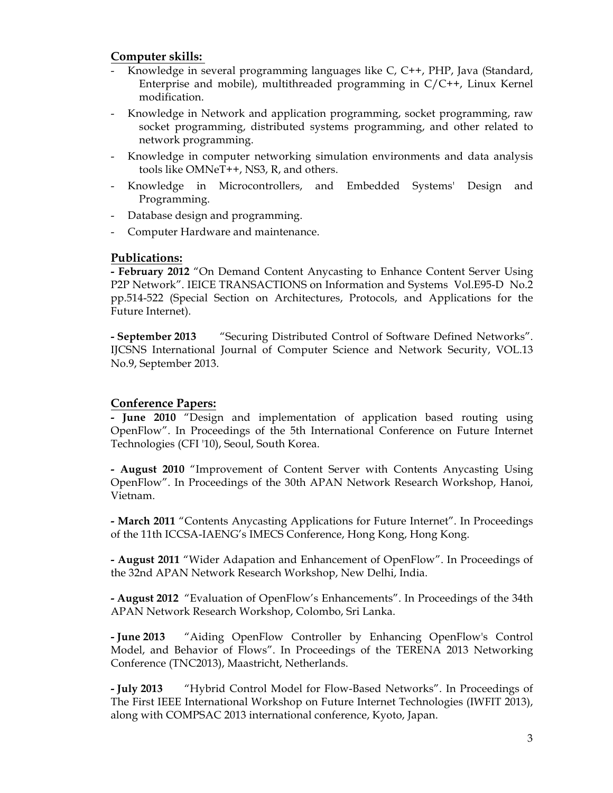# **Computer skills:**

- Knowledge in several programming languages like C, C++, PHP, Java (Standard, Enterprise and mobile), multithreaded programming in C/C++, Linux Kernel modification.
- Knowledge in Network and application programming, socket programming, raw socket programming, distributed systems programming, and other related to network programming.
- Knowledge in computer networking simulation environments and data analysis tools like OMNeT++, NS3, R, and others.
- Knowledge in Microcontrollers, and Embedded Systems' Design and Programming.
- Database design and programming.
- Computer Hardware and maintenance.

# **Publications:**

**- February 2012** "On Demand Content Anycasting to Enhance Content Server Using P2P Network". IEICE TRANSACTIONS on Information and Systems Vol.E95-D No.2 pp.514-522 (Special Section on Architectures, Protocols, and Applications for the Future Internet).

**- September 2013** "Securing Distributed Control of Software Defined Networks". IJCSNS International Journal of Computer Science and Network Security, VOL.13 No.9, September 2013.

# **Conference Papers:**

**- June 2010** "Design and implementation of application based routing using OpenFlow". In Proceedings of the 5th International Conference on Future Internet Technologies (CFI '10), Seoul, South Korea.

**- August 2010** "Improvement of Content Server with Contents Anycasting Using OpenFlow". In Proceedings of the 30th APAN Network Research Workshop, Hanoi, Vietnam.

**- March 2011** "Contents Anycasting Applications for Future Internet". In Proceedings of the 11th ICCSA-IAENG's IMECS Conference, Hong Kong, Hong Kong.

**- August 2011** "Wider Adapation and Enhancement of OpenFlow". In Proceedings of the 32nd APAN Network Research Workshop, New Delhi, India.

**- August 2012** "Evaluation of OpenFlow's Enhancements". In Proceedings of the 34th APAN Network Research Workshop, Colombo, Sri Lanka.

**- June 2013** "Aiding OpenFlow Controller by Enhancing OpenFlow's Control Model, and Behavior of Flows". In Proceedings of the TERENA 2013 Networking Conference (TNC2013), Maastricht, Netherlands.

**- July 2013** "Hybrid Control Model for Flow-Based Networks". In Proceedings of The First IEEE International Workshop on Future Internet Technologies (IWFIT 2013), along with COMPSAC 2013 international conference, Kyoto, Japan.